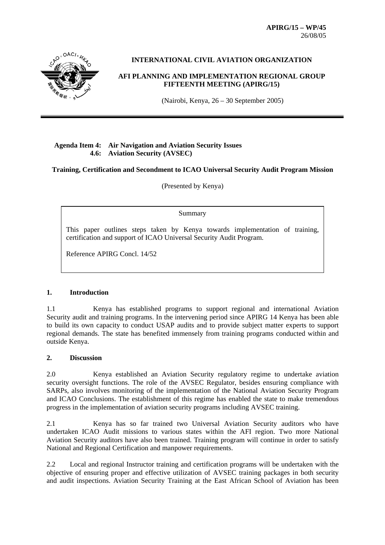**APIRG/15 – WP/45**  26/08/05



# **INTERNATIONAL CIVIL AVIATION ORGANIZATION**

# **AFI PLANNING AND IMPLEMENTATION REGIONAL GROUP FIFTEENTH MEETING (APIRG/15)**

(Nairobi, Kenya, 26 – 30 September 2005)

# **Agenda Item 4: Air Navigation and Aviation Security Issues 4.6: Aviation Security (AVSEC)**

#### **Training, Certification and Secondment to ICAO Universal Security Audit Program Mission**

(Presented by Kenya)

Summary

This paper outlines steps taken by Kenya towards implementation of training, certification and support of ICAO Universal Security Audit Program.

Reference APIRG Concl. 14/52

#### **1. Introduction**

1.1 Kenya has established programs to support regional and international Aviation Security audit and training programs. In the intervening period since APIRG 14 Kenya has been able to build its own capacity to conduct USAP audits and to provide subject matter experts to support regional demands. The state has benefited immensely from training programs conducted within and outside Kenya.

#### **2. Discussion**

2.0 Kenya established an Aviation Security regulatory regime to undertake aviation security oversight functions. The role of the AVSEC Regulator, besides ensuring compliance with SARPs, also involves monitoring of the implementation of the National Aviation Security Program and ICAO Conclusions. The establishment of this regime has enabled the state to make tremendous progress in the implementation of aviation security programs including AVSEC training.

2.1 Kenya has so far trained two Universal Aviation Security auditors who have undertaken ICAO Audit missions to various states within the AFI region. Two more National Aviation Security auditors have also been trained. Training program will continue in order to satisfy National and Regional Certification and manpower requirements.

2.2 Local and regional Instructor training and certification programs will be undertaken with the objective of ensuring proper and effective utilization of AVSEC training packages in both security and audit inspections. Aviation Security Training at the East African School of Aviation has been